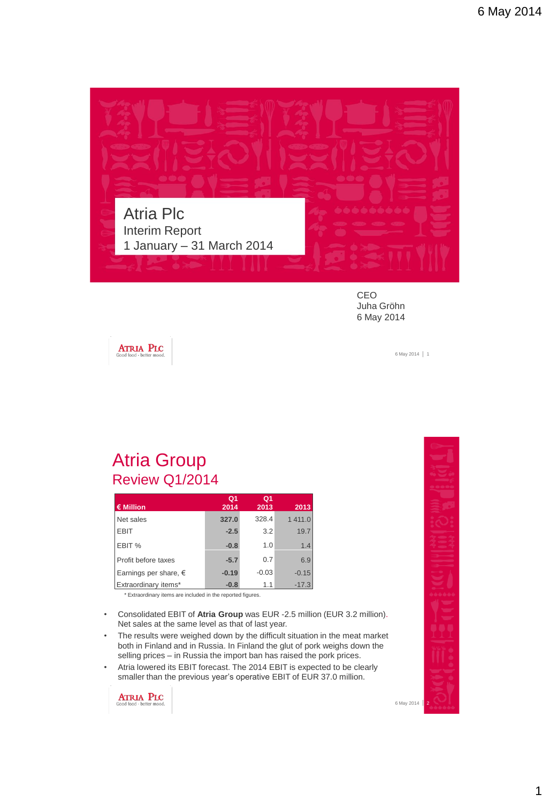

CEO Juha Gröhn 6 May 2014

**ATRIA PLC** 

6 May 2014 | 1

#### Atria Group Review Q1/2014

|                                | Q <sub>1</sub> | Q <sub>1</sub> |         |
|--------------------------------|----------------|----------------|---------|
| $\epsilon$ Million             | 2014           | 2013           | 2013    |
| Net sales                      | 327.0          | 328.4          | 1411.0  |
| <b>EBIT</b>                    | $-2.5$         | 3.2            | 19.7    |
| EBIT %                         | $-0.8$         | 1.0            | 1.4     |
| Profit before taxes            | $-5.7$         | 0.7            | 6.9     |
| Earnings per share, $\epsilon$ | $-0.19$        | $-0.03$        | $-0.15$ |
| Extraordinary items*           | $-0.8$         | 1.1            | $-17.3$ |

\* Extraordinary items are included in the reported figures.

- Consolidated EBIT of **Atria Group** was EUR -2.5 million (EUR 3.2 million). Net sales at the same level as that of last year.
- The results were weighed down by the difficult situation in the meat market both in Finland and in Russia. In Finland the glut of pork weighs down the selling prices – in Russia the import ban has raised the pork prices.
- Atria lowered its EBIT forecast. The 2014 EBIT is expected to be clearly smaller than the previous year's operative EBIT of EUR 37.0 million.

**ATRIA PLC**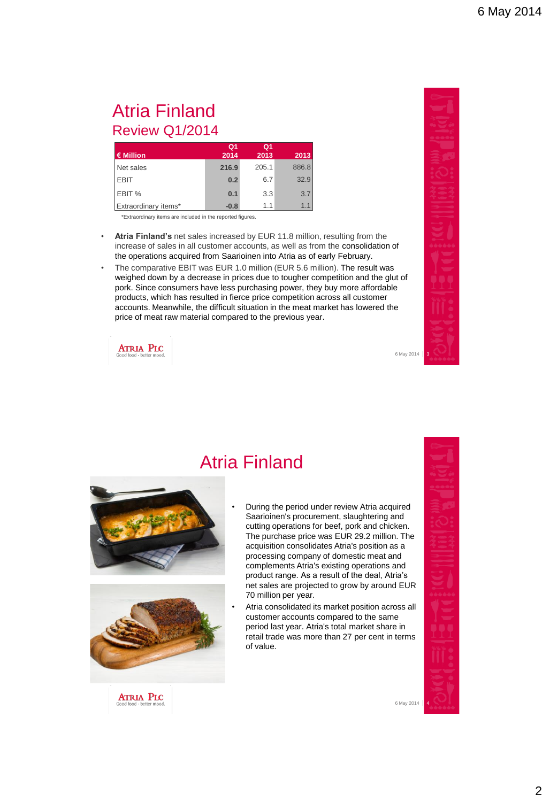#### Atria Finland Review Q1/2014

|                      | Q <sub>1</sub> | Q <sub>1</sub> |       |
|----------------------|----------------|----------------|-------|
| € Million            | 2014           | 2013           | 2013  |
| Net sales            | 216.9          | 205.1          | 886.8 |
| <b>EBIT</b>          | 0.2            | 6.7            | 32.9  |
| EBIT %               | 0.1            | 3.3            | 3.7   |
| Extraordinary items* | $-0.8$         | 1.1            | 1.1   |

\*Extraordinary items are included in the reported figures.

- **Atria Finland's** net sales increased by EUR 11.8 million, resulting from the increase of sales in all customer accounts, as well as from the consolidation of the operations acquired from Saarioinen into Atria as of early February.
- The comparative EBIT was EUR 1.0 million (EUR 5.6 million). The result was weighed down by a decrease in prices due to tougher competition and the glut of pork. Since consumers have less purchasing power, they buy more affordable products, which has resulted in fierce price competition across all customer accounts. Meanwhile, the difficult situation in the meat market has lowered the price of meat raw material compared to the previous year.

Atria Finland

**ATRIA PLC** 

6 May 2014 3





• During the period under review Atria acquired Saarioinen's procurement, slaughtering and cutting operations for beef, pork and chicken. The purchase price was EUR 29.2 million. The acquisition consolidates Atria's position as a processing company of domestic meat and complements Atria's existing operations and product range. As a result of the deal, Atria's net sales are projected to grow by around EUR 70 million per year.

• Atria consolidated its market position across all customer accounts compared to the same period last year. Atria's total market share in retail trade was more than 27 per cent in terms of value.



**ATRIA PLC**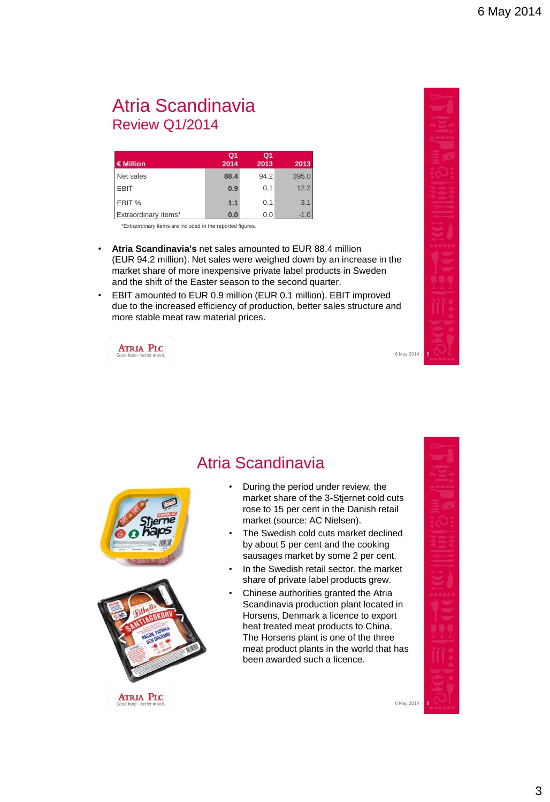#### Atria Scandinavia Review Q1/2014

|                      | Q <sub>1</sub> | Q <sub>1</sub> |        |
|----------------------|----------------|----------------|--------|
| $\epsilon$ Million   | 2014           | 2013           | 2013   |
| Net sales            | 88.4           | 94.2           | 395.0  |
| <b>EBIT</b>          | 0.9            | 0.1            | 12.2   |
| EBIT %               | 1.1            | 0.1            | 3.1    |
| Extraordinary items* | 0.0            | 0.0            | $-1.0$ |

\*Extraordinary items are included in the reported figures.

- **Atria Scandinavia's** net sales amounted to EUR 88.4 million (EUR 94.2 million). Net sales were weighed down by an increase in the market share of more inexpensive private label products in Sweden and the shift of the Easter season to the second quarter.
- EBIT amounted to EUR 0.9 million (EUR 0.1 million). EBIT improved due to the increased efficiency of production, better sales structure and more stable meat raw material prices.

**ATRIA PLC** 



**ATRIA PLC** 

#### Atria Scandinavia

- During the period under review, the market share of the 3-Stjernet cold cuts rose to 15 per cent in the Danish retail market (source: AC Nielsen).
- The Swedish cold cuts market declined by about 5 per cent and the cooking sausages market by some 2 per cent.
- In the Swedish retail sector, the market share of private label products grew.
- Chinese authorities granted the Atria Scandinavia production plant located in Horsens, Denmark a licence to export heat treated meat products to China. The Horsens plant is one of the three meat product plants in the world that has been awarded such a licence.



6 May 2014

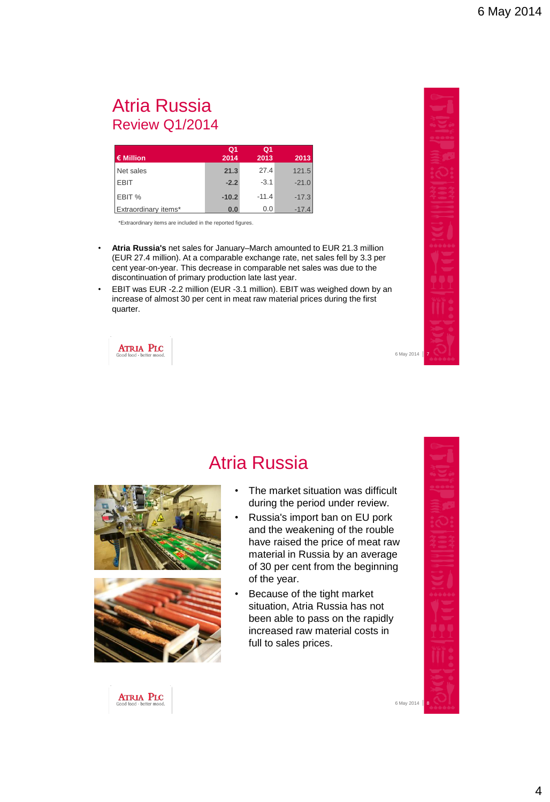#### Atria Russia Review Q1/2014

|                      | Q <sub>1</sub> | Q1      |         |
|----------------------|----------------|---------|---------|
| € Million            | 2014           | 2013    | 2013    |
| Net sales            | 21.3           | 27.4    | 121.5   |
| <b>EBIT</b>          | $-2.2$         | $-3.1$  | $-21.0$ |
| EBIT %               | $-10.2$        | $-11.4$ | $-17.3$ |
| Extraordinary items* | 0.0            | 0.0     | $-17.4$ |

\*Extraordinary items are included in the reported figures.

- **Atria Russia's** net sales for January–March amounted to EUR 21.3 million (EUR 27.4 million). At a comparable exchange rate, net sales fell by 3.3 per cent year-on-year. This decrease in comparable net sales was due to the discontinuation of primary production late last year.
- EBIT was EUR -2.2 million (EUR -3.1 million). EBIT was weighed down by an increase of almost 30 per cent in meat raw material prices during the first quarter.



6 May 2014





#### Atria Russia

- The market situation was difficult during the period under review.
- Russia's import ban on EU pork and the weakening of the rouble have raised the price of meat raw material in Russia by an average of 30 per cent from the beginning of the year.
- Because of the tight market situation, Atria Russia has not been able to pass on the rapidly increased raw material costs in full to sales prices.



6 May 2014

**ATRIA PLC**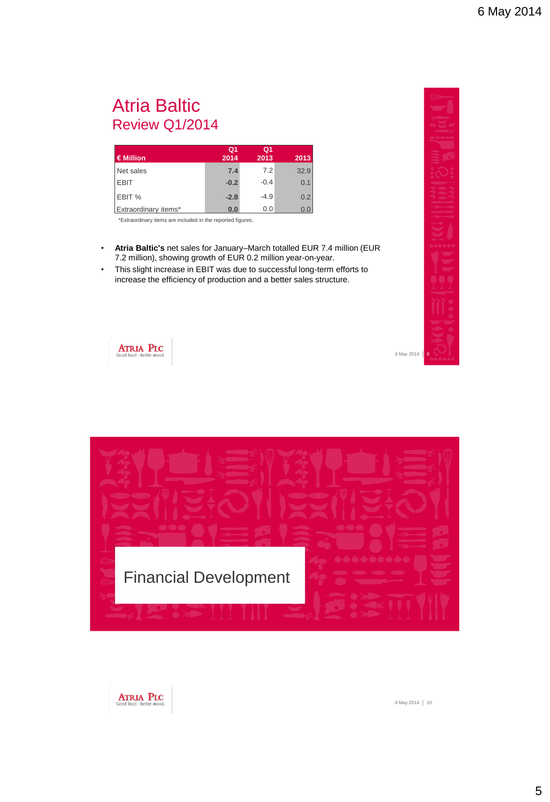#### Atria Baltic Review Q1/2014

|                      | Q <sub>1</sub> | Q1     |      |
|----------------------|----------------|--------|------|
| € Million            | 2014           | 2013   | 2013 |
| Net sales            | 7.4            | 7.2    | 32.9 |
| <b>EBIT</b>          | $-0.2$         | $-0.4$ | 0.1  |
| EBIT %               | $-2.8$         | $-4.9$ | 0.2  |
| Extraordinary items* | 0.0            | 0.0    | 0.0  |

\*Extraordinary items are included in the reported figures.

- **Atria Baltic's** net sales for January–March totalled EUR 7.4 million (EUR 7.2 million), showing growth of EUR 0.2 million year-on-year.
- This slight increase in EBIT was due to successful long-term efforts to increase the efficiency of production and a better sales structure.



**ATRIA PLC** 



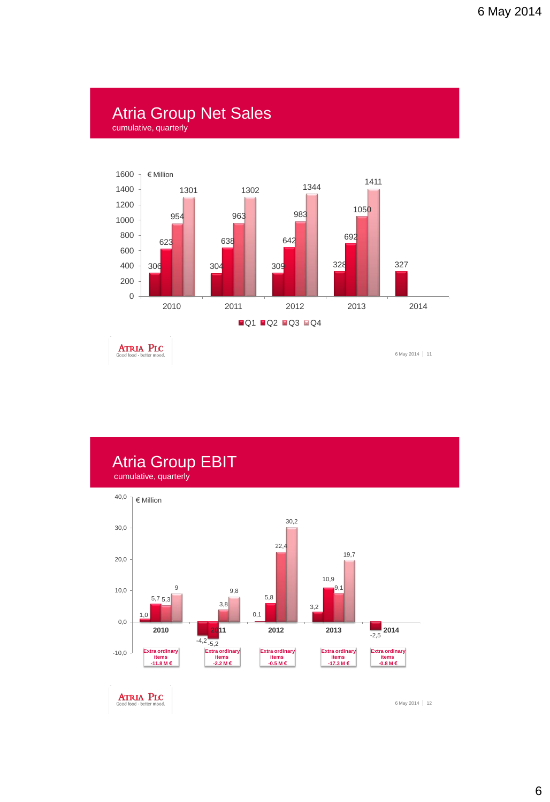# Atria Group Net Sales

cumulative, quarterly



**ATRIA PLC** 

6 May 2014 11



**ATRIA PLC**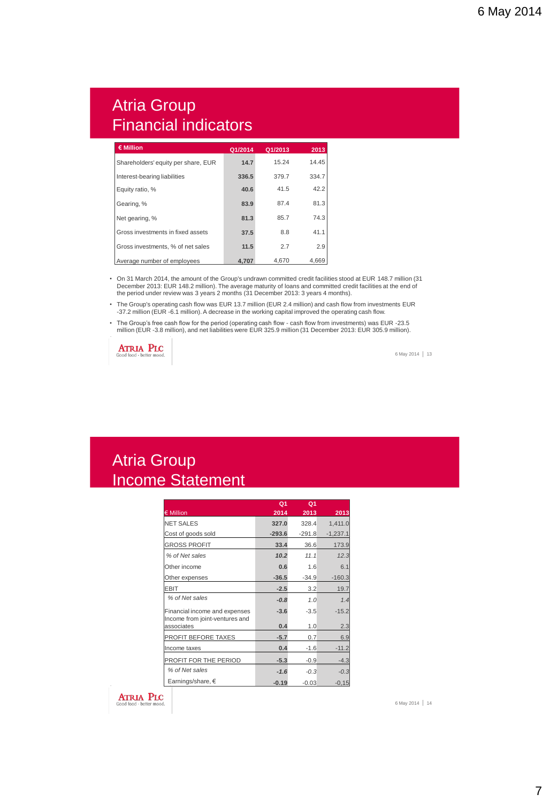#### Atria Group Financial indicators

| € Million                           | Q1/2014 | Q1/2013 | 2013  |
|-------------------------------------|---------|---------|-------|
| Shareholders' equity per share, EUR | 14.7    | 15.24   | 14.45 |
| Interest-bearing liabilities        | 336.5   | 379.7   | 334.7 |
| Equity ratio, %                     | 40.6    | 41.5    | 42.2  |
| Gearing, %                          | 83.9    | 87.4    | 81.3  |
| Net gearing, %                      | 81.3    | 85.7    | 74.3  |
| Gross investments in fixed assets   | 37.5    | 8.8     | 41.1  |
| Gross investments, % of net sales   | 11.5    | 2.7     | 2.9   |
| Average number of employees         | 4.707   | 4.670   | 4.669 |

• On 31 March 2014, the amount of the Group's undrawn committed credit facilities stood at EUR 148.7 million (31 December 2013: EUR 148.2 million). The average maturity of loans and committed credit facilities at the end of the period under review was 3 years 2 months (31 December 2013: 3 years 4 months)

• The Group's operating cash flow was EUR 13.7 million (EUR 2.4 million) and cash flow from investments EUR -37.2 million (EUR -6.1 million). A decrease in the working capital improved the operating cash flow.

• The Group's free cash flow for the period (operating cash flow - cash flow from investments) was EUR -23.5 million (EUR -3.8 million), and net liabilities were EUR 325.9 million (31 December 2013: EUR 305.9 million).



6 May 2014 | 13

#### Atria Group Income Statement

|                                                                 | Q <sub>1</sub> | Q <sub>1</sub> |            |
|-----------------------------------------------------------------|----------------|----------------|------------|
| € Million                                                       | 2014           | 2013           | 2013       |
| <b>NET SALES</b>                                                | 327.0          | 328.4          | 1,411.0    |
| Cost of goods sold                                              | $-293.6$       | $-291.8$       | $-1,237.1$ |
| <b>GROSS PROFIT</b>                                             | 33.4           | 36.6           | 173.9      |
| % of Net sales                                                  | 10.2           | 11.1           | 12.3       |
| Other income                                                    | 0.6            | 1.6            | 6.1        |
| Other expenses                                                  | $-36.5$        | $-34.9$        | $-160.3$   |
| <b>EBIT</b>                                                     | $-2.5$         | 3.2            | 19.7       |
| % of Net sales                                                  | $-0.8$         | 1.0            | 1.4        |
| Financial income and expenses<br>Income from joint-ventures and | $-3.6$         | $-3.5$         | $-15.2$    |
| associates                                                      | 0.4            | 1.0            | 2.3        |
| PROFIT BEFORE TAXES                                             | $-5.7$         | 0.7            | 6.9        |
| Income taxes                                                    | 0.4            | $-1.6$         | $-11.2$    |
| PROFIT FOR THE PERIOD                                           | $-5.3$         | $-0.9$         | $-4.3$     |
| % of Net sales                                                  | $-1.6$         | $-0.3$         | $-0.3$     |
| Earnings/share, €                                               | $-0.19$        | $-0.03$        | $-0,15$    |

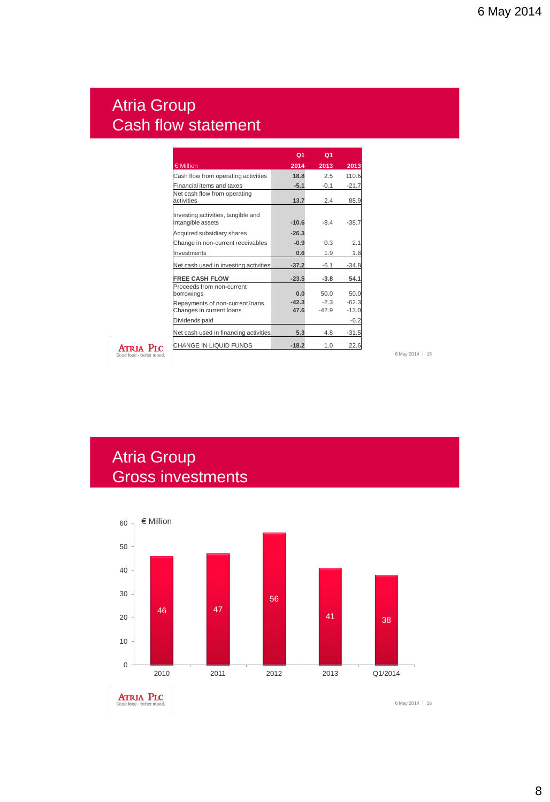#### Atria Group Cash flow statement

|                                                             | Q <sub>1</sub>  | Q <sub>1</sub>    |                    |
|-------------------------------------------------------------|-----------------|-------------------|--------------------|
| € Million                                                   | 2014            | 2013              | 2013               |
| Cash flow from operating activities                         | 18.8            | 2.5               | 110.6              |
| Financial items and taxes                                   | $-5.1$          | $-0.1$            | $-21.7$            |
| Net cash flow from operating<br>activities                  | 13.7            | 2.4               | 88.9               |
| Investing activities, tangible and<br>intangible assets     | $-10.6$         | $-84$             | $-38.7$            |
| Acquired subsidiary shares                                  | $-26.3$         |                   |                    |
| Change in non-current receivables                           | $-0.9$          | 0.3               | 2.1                |
| <b>Investments</b>                                          | 0.6             | 1.9               | 1.8                |
| Net cash used in investing activities                       | $-37.2$         | $-6.1$            | $-34.8$            |
| <b>FREE CASH FLOW</b>                                       | $-23.5$         | $-3.8$            | 54.1               |
| Proceeds from non-current<br>borrowings                     | 0.0             | 50.0              | 50.0               |
| Repayments of non-current loans<br>Changes in current loans | $-42.3$<br>47.6 | $-2.3$<br>$-42.9$ | $-62.3$<br>$-13.0$ |
| Dividends paid                                              |                 |                   | $-6.2$             |
| Net cash used in financing activities                       | 5.3             | 4.8               | $-31.5$            |
| CHANGE IN LIQUID FUNDS                                      | $-18.2$         | 1.0               | 22.6               |

**ATRIA PLC** 

6 May 2014 15

## Atria Group Gross investments



**ATRIA PLC**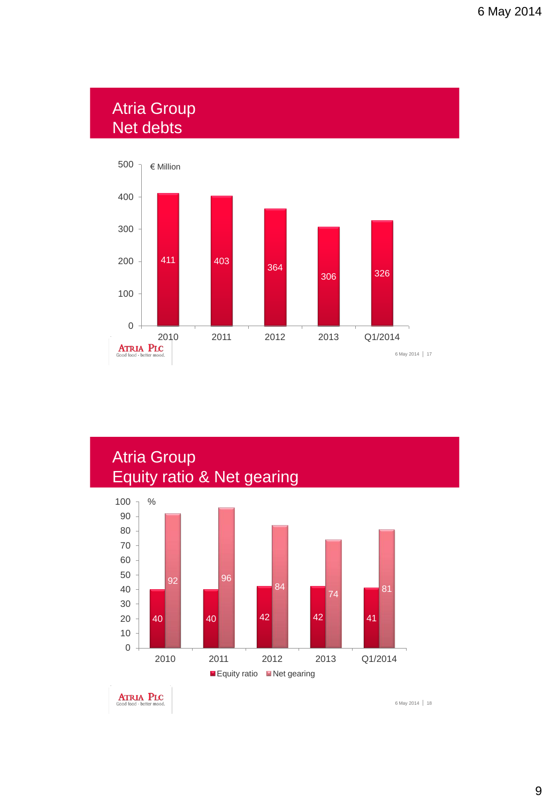#### Atria Group Net debts





**ATRIA PLC**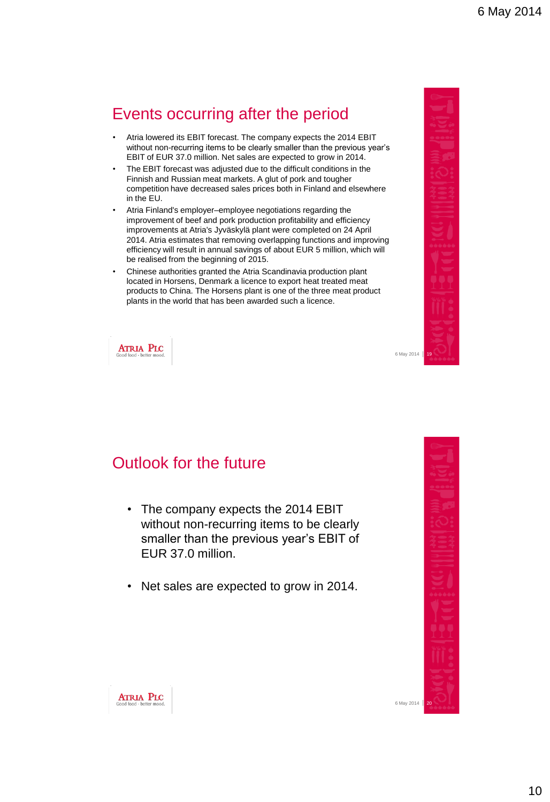## Events occurring after the period

- Atria lowered its EBIT forecast. The company expects the 2014 EBIT without non-recurring items to be clearly smaller than the previous year's EBIT of EUR 37.0 million. Net sales are expected to grow in 2014.
- The EBIT forecast was adjusted due to the difficult conditions in the Finnish and Russian meat markets. A glut of pork and tougher competition have decreased sales prices both in Finland and elsewhere in the EU.
- Atria Finland's employer–employee negotiations regarding the improvement of beef and pork production profitability and efficiency improvements at Atria's Jyväskylä plant were completed on 24 April 2014. Atria estimates that removing overlapping functions and improving efficiency will result in annual savings of about EUR 5 million, which will be realised from the beginning of 2015.
- Chinese authorities granted the Atria Scandinavia production plant located in Horsens, Denmark a licence to export heat treated meat products to China. The Horsens plant is one of the three meat product plants in the world that has been awarded such a licence.



**ATRIA PLC** 

#### Outlook for the future

- The company expects the 2014 EBIT without non-recurring items to be clearly smaller than the previous year's EBIT of EUR 37.0 million.
- Net sales are expected to grow in 2014.



6 May 2014 20



6 May 2014